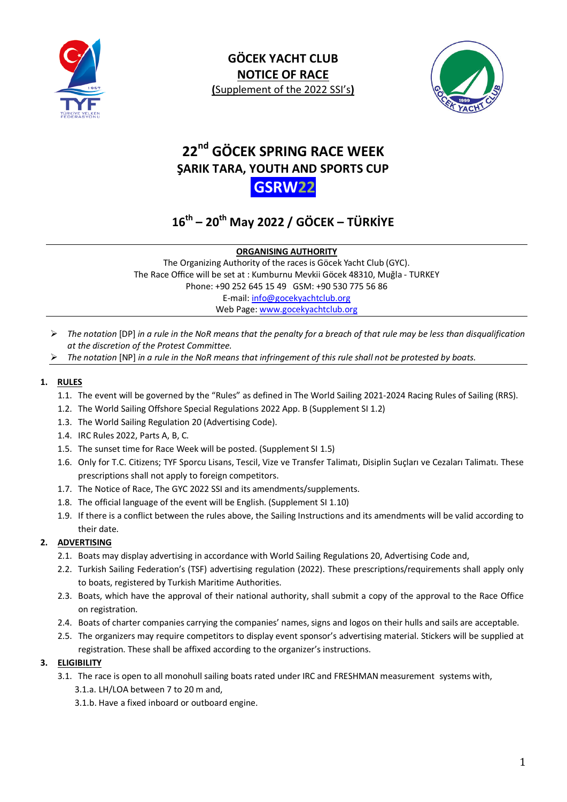



# **22nd GÖCEK SPRING RACE WEEK ŞARIK TARA, YOUTH AND SPORTS CUP GSRW22**

# **16th – 20th May 2022 / GÖCEK – TÜRKİYE**

**ORGANISING AUTHORITY**

The Organizing Authority of the races is Göcek Yacht Club (GYC). The Race Office will be set at : Kumburnu Mevkii Göcek 48310, Muğla - TURKEY Phone: +90 252 645 15 49 GSM: +90 530 775 56 86 E-mail: [info@gocekyachtclub.org](mailto:info@gocekyachtclub.org) Web Page: [www.gocekyachtclub.org](http://www.gocekyachtclub.org/)

- *The notation* [DP] *in a rule in the NoR means that the penalty for a breach of that rule may be less than disqualification at the discretion of the Protest Committee.*
- *The notation* [NP] *in a rule in the NoR means that infringement of this rule shall not be protested by boats.*

# **1. RULES**

- 1.1. The event will be governed by the "Rules" as defined in The World Sailing 2021-2024 Racing Rules of Sailing (RRS).
- 1.2. The World Sailing Offshore Special Regulations 2022 App. B (Supplement SI 1.2)
- 1.3. The World Sailing Regulation 20 (Advertising Code).
- 1.4. IRC Rules 2022, Parts A, B, C.
- 1.5. The sunset time for Race Week will be posted. (Supplement SI 1.5)
- 1.6. Only for T.C. Citizens; TYF Sporcu Lisans, Tescil, Vize ve Transfer Talimatı, Disiplin Suçları ve Cezaları Talimatı. These prescriptions shall not apply to foreign competitors.
- 1.7. The Notice of Race, The GYC 2022 SSI and its amendments/supplements.
- 1.8. The official language of the event will be English. (Supplement SI 1.10)
- 1.9. If there is a conflict between the rules above, the Sailing Instructions and its amendments will be valid according to their date.

# **2. ADVERTISING**

- 2.1. Boats may display advertising in accordance with World Sailing Regulations 20, Advertising Code and,
- 2.2. Turkish Sailing Federation's (TSF) advertising regulation (2022). These prescriptions/requirements shall apply only to boats, registered by Turkish Maritime Authorities.
- 2.3. Boats, which have the approval of their national authority, shall submit a copy of the approval to the Race Office on registration.
- 2.4. Boats of charter companies carrying the companies' names, signs and logos on their hulls and sails are acceptable.
- 2.5. The organizers may require competitors to display event sponsor's advertising material. Stickers will be supplied at registration. These shall be affixed according to the organizer's instructions.

# **3. ELIGIBILITY**

- 3.1. The race is open to all monohull sailing boats rated under IRC and FRESHMAN measurement systems with, 3.1.a. LH/LOA between 7 to 20 m and,
	- 3.1.b. Have a fixed inboard or outboard engine.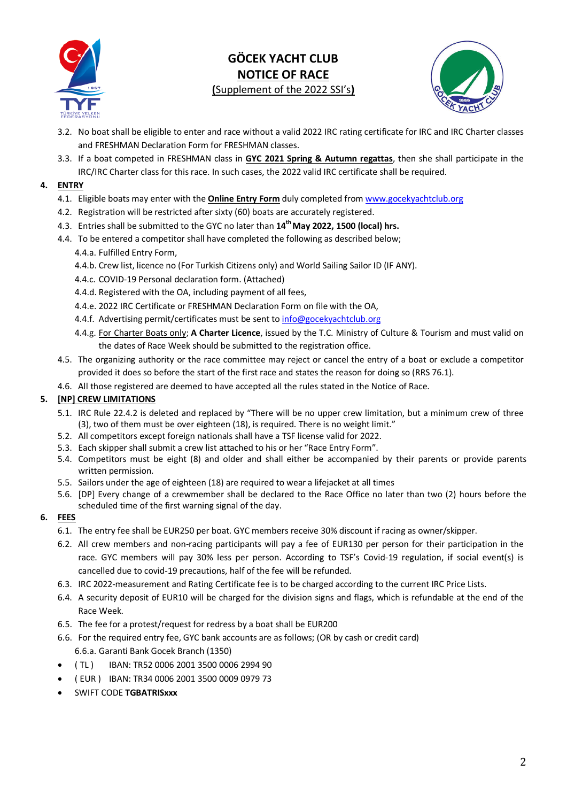



- 3.2. No boat shall be eligible to enter and race without a valid 2022 IRC rating certificate for IRC and IRC Charter classes and FRESHMAN Declaration Form for FRESHMAN classes.
- 3.3. If a boat competed in FRESHMAN class in **GYC 2021 Spring & Autumn regattas**, then she shall participate in the IRC/IRC Charter class for this race. In such cases, the 2022 valid IRC certificate shall be required.

# **4. ENTRY**

- 4.1. Eligible boats may enter with the **Online Entry Form** duly completed from [www.gocekyachtclub.org](http://www.gocekyachtclub.org/)
- 4.2. Registration will be restricted after sixty (60) boats are accurately registered.
- 4.3. Entries shall be submitted to the GYC no later than  $14<sup>th</sup>$  May 2022, 1500 (local) hrs.
- 4.4. To be entered a competitor shall have completed the following as described below;
	- 4.4.a. Fulfilled Entry Form,
	- 4.4.b. Crew list, licence no (For Turkish Citizens only) and World Sailing Sailor ID (IF ANY).
	- 4.4.c. COVID-19 Personal declaration form. (Attached)
	- 4.4.d. Registered with the OA, including payment of all fees,
	- 4.4.e. 2022 IRC Certificate or FRESHMAN Declaration Form on file with the OA,
	- 4.4.f. Advertising permit/certificates must be sent t[o info@gocekyachtclub.org](mailto:info@gocekyachtclub.org)
	- 4.4.g. For Charter Boats only; **A Charter Licence**, issued by the T.C. Ministry of Culture & Tourism and must valid on the dates of Race Week should be submitted to the registration office.
- 4.5. The organizing authority or the race committee may reject or cancel the entry of a boat or exclude a competitor provided it does so before the start of the first race and states the reason for doing so (RRS 76.1).
- 4.6. All those registered are deemed to have accepted all the rules stated in the Notice of Race.

### **5. [NP] CREW LIMITATIONS**

- 5.1. IRC Rule 22.4.2 is deleted and replaced by "There will be no upper crew limitation, but a minimum crew of three (3), two of them must be over eighteen (18), is required. There is no weight limit."
- 5.2. All competitors except foreign nationals shall have a TSF license valid for 2022.
- 5.3. Each skipper shall submit a crew list attached to his or her "Race Entry Form".
- 5.4. Competitors must be eight (8) and older and shall either be accompanied by their parents or provide parents written permission.
- 5.5. Sailors under the age of eighteen (18) are required to wear a lifejacket at all times
- 5.6. [DP] Every change of a crewmember shall be declared to the Race Office no later than two (2) hours before the scheduled time of the first warning signal of the day.

# **6. FEES**

- 6.1. The entry fee shall be EUR250 per boat. GYC members receive 30% discount if racing as owner/skipper.
- 6.2. All crew members and non-racing participants will pay a fee of EUR130 per person for their participation in the race. GYC members will pay 30% less per person. According to TSF's Covid-19 regulation, if social event(s) is cancelled due to covid-19 precautions, half of the fee will be refunded.
- 6.3. IRC 2022-measurement and Rating Certificate fee is to be charged according to the current IRC Price Lists.
- 6.4. A security deposit of EUR10 will be charged for the division signs and flags, which is refundable at the end of the Race Week.
- 6.5. The fee for a protest/request for redress by a boat shall be EUR200
- 6.6. For the required entry fee, GYC bank accounts are as follows; (OR by cash or credit card) 6.6.a. Garanti Bank Gocek Branch (1350)
- ( TL ) IBAN: TR52 0006 2001 3500 0006 2994 90
- ( EUR ) IBAN: TR34 0006 2001 3500 0009 0979 73
- SWIFT CODE **TGBATRISxxx**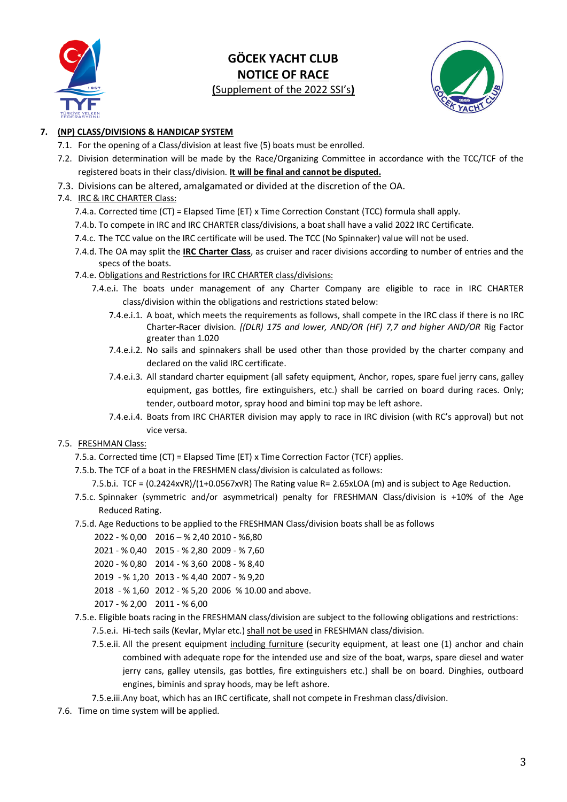



# **7. (NP) CLASS/DIVISIONS & HANDICAP SYSTEM**

- 7.1. For the opening of a Class/division at least five (5) boats must be enrolled.
- 7.2. Division determination will be made by the Race/Organizing Committee in accordance with the TCC/TCF of the registered boats in their class/division. **It will be final and cannot be disputed.**
- 7.3. Divisions can be altered, amalgamated or divided at the discretion of the OA.

### 7.4. IRC & IRC CHARTER Class:

- 7.4.a. Corrected time (CT) = Elapsed Time (ET) x Time Correction Constant (TCC) formula shall apply.
- 7.4.b. To compete in IRC and IRC CHARTER class/divisions, a boat shall have a valid 2022 IRC Certificate.
- 7.4.c. The TCC value on the IRC certificate will be used. The TCC (No Spinnaker) value will not be used.
- 7.4.d. The OA may split the **IRC Charter Class**, as cruiser and racer divisions according to number of entries and the specs of the boats.
- 7.4.e. Obligations and Restrictions for IRC CHARTER class/divisions:
	- 7.4.e.i. The boats under management of any Charter Company are eligible to race in IRC CHARTER class/division within the obligations and restrictions stated below:
		- 7.4.e.i.1. A boat, which meets the requirements as follows, shall compete in the IRC class if there is no IRC Charter-Racer division. *[(DLR) 175 and lower, AND/OR (HF) 7,7 and higher AND/OR* Rig Factor greater than 1.020
		- 7.4.e.i.2. No sails and spinnakers shall be used other than those provided by the charter company and declared on the valid IRC certificate.
		- 7.4.e.i.3. All standard charter equipment (all safety equipment, Anchor, ropes, spare fuel jerry cans, galley equipment, gas bottles, fire extinguishers, etc.) shall be carried on board during races. Only; tender, outboard motor, spray hood and bimini top may be left ashore.
		- 7.4.e.i.4. Boats from IRC CHARTER division may apply to race in IRC division (with RC's approval) but not vice versa.

# 7.5. FRESHMAN Class:

- 7.5.a. Corrected time (CT) = Elapsed Time (ET) x Time Correction Factor (TCF) applies.
- 7.5.b. The TCF of a boat in the FRESHMEN class/division is calculated as follows:
	- 7.5.b.i. TCF = (0.2424x√R)/(1+0.0567x√R) The Rating value R= 2.65xLOA (m) and is subject to Age Reduction.
- 7.5.c. Spinnaker (symmetric and/or asymmetrical) penalty for FRESHMAN Class/division is +10% of the Age Reduced Rating.
- 7.5.d. Age Reductions to be applied to the FRESHMAN Class/division boats shall be as follows
	- 2022 % 0,00 2016 % 2,40 2010 %6,80
	- 2021 % 0,40 2015 % 2,80 2009 % 7,60
	- 2020 % 0,80 2014 % 3,60 2008 % 8,40
	- 2019 % 1,20 2013 % 4,40 2007 % 9,20
	- 2018 % 1,60 2012 % 5,20 2006 % 10.00 and above.

2017 - % 2,00 2011 - % 6,00

- 7.5.e. Eligible boats racing in the FRESHMAN class/division are subject to the following obligations and restrictions: 7.5.e.i. Hi-tech sails (Kevlar, Mylar etc.) shall not be used in FRESHMAN class/division.
	- 7.5.e.ii. All the present equipment including furniture (security equipment, at least one (1) anchor and chain combined with adequate rope for the intended use and size of the boat, warps, spare diesel and water jerry cans, galley utensils, gas bottles, fire extinguishers etc.) shall be on board. Dinghies, outboard engines, biminis and spray hoods, may be left ashore.
	- 7.5.e.iii.Any boat, which has an IRC certificate, shall not compete in Freshman class/division.
- 7.6. Time on time system will be applied.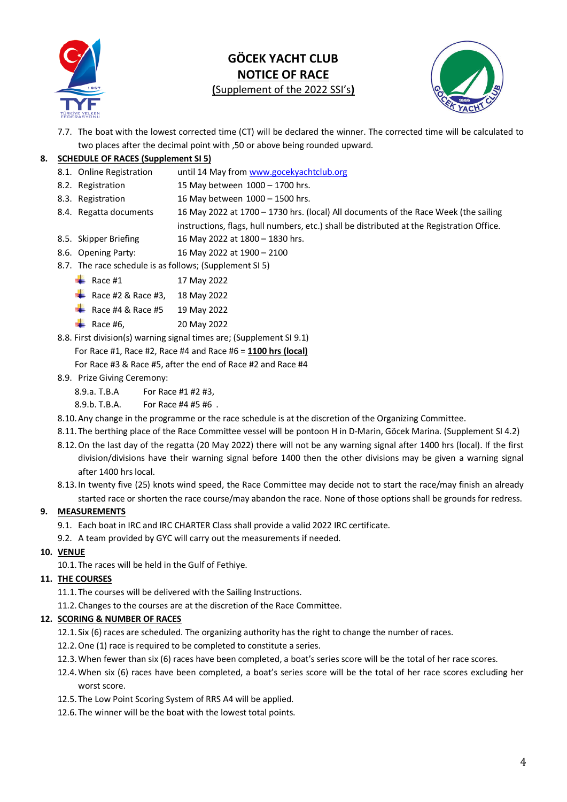

# **GÖCEK YACHT CLUB NOTICE OF RACE**

**(**Supplement of the 2022 SSI's**)**



7.7. The boat with the lowest corrected time (CT) will be declared the winner. The corrected time will be calculated to two places after the decimal point with ,50 or above being rounded upward.

# **8. SCHEDULE OF RACES (Supplement SI 5)**

- 8.1. Online Registration until 14 May from [www.gocekyachtclub.org](http://www.gocekyachtclub.org/)
- 8.2. Registration 15 May between 1000 1700 hrs.
- 8.3. Registration 16 May between 1000 1500 hrs.
- 8.4. Regatta documents 16 May 2022 at 1700 1730 hrs. (local) All documents of the Race Week (the sailing instructions, flags, hull numbers, etc.) shall be distributed at the Registration Office.
- 8.5. Skipper Briefing 16 May 2022 at 1800 1830 hrs.
- 8.6. Opening Party: 16 May 2022 at 1900 2100
- 8.7. The race schedule is as follows; (Supplement SI 5)
	- $\frac{1}{2}$  Race #1 17 May 2022
	- Race #2 & Race #3, 18 May 2022
	- Race #4 & Race #5 19 May 2022
	- Race #6, 20 May 2022
- 8.8. First division(s) warning signal times are; (Supplement SI 9.1) For Race #1, Race #2, Race #4 and Race #6 = **1100 hrs (local)** For Race #3 & Race #5, after the end of Race #2 and Race #4
- 8.9. Prize Giving Ceremony:
	- 8.9.a. T.B.A For Race #1 #2 #3,

8.9.b. T.B.A. For Race #4 #5 #6 .

- 8.10.Any change in the programme or the race schedule is at the discretion of the Organizing Committee.
- 8.11. The berthing place of the Race Committee vessel will be pontoon H in D-Marin, Göcek Marina. (Supplement SI 4.2)
- 8.12.On the last day of the regatta (20 May 2022) there will not be any warning signal after 1400 hrs (local). If the first division/divisions have their warning signal before 1400 then the other divisions may be given a warning signal after 1400 hrs local.
- 8.13. In twenty five (25) knots wind speed, the Race Committee may decide not to start the race/may finish an already started race or shorten the race course/may abandon the race. None of those options shall be grounds for redress.

#### **9. MEASUREMENTS**

- 9.1. Each boat in IRC and IRC CHARTER Class shall provide a valid 2022 IRC certificate.
- 9.2. A team provided by GYC will carry out the measurements if needed.

#### **10. VENUE**

10.1. The races will be held in the Gulf of Fethiye.

#### **11. THE COURSES**

- 11.1. The courses will be delivered with the Sailing Instructions.
- 11.2.Changes to the courses are at the discretion of the Race Committee.

#### **12. SCORING & NUMBER OF RACES**

- 12.1. Six (6) races are scheduled. The organizing authority has the right to change the number of races.
- 12.2.One (1) race is required to be completed to constitute a series.
- 12.3.When fewer than six (6) races have been completed, a boat's series score will be the total of her race scores.
- 12.4.When six (6) races have been completed, a boat's series score will be the total of her race scores excluding her worst score.
- 12.5. The Low Point Scoring System of RRS A4 will be applied.
- 12.6. The winner will be the boat with the lowest total points.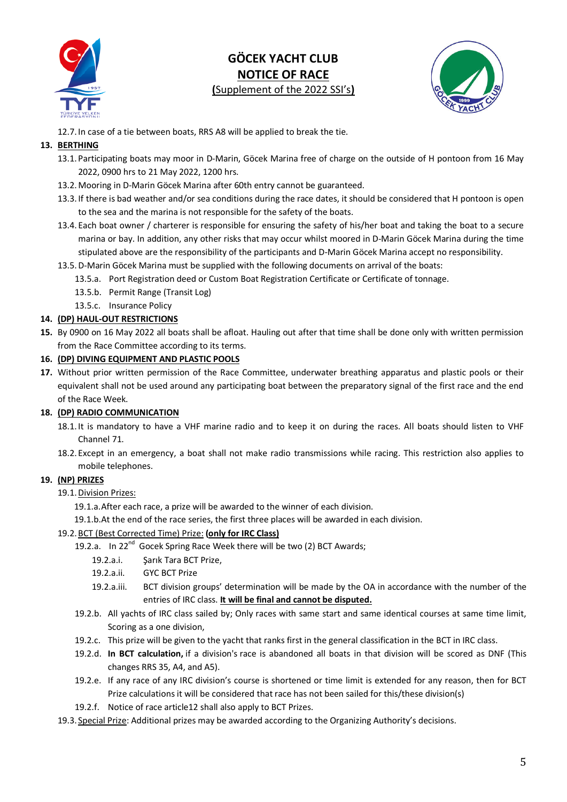



12.7. In case of a tie between boats, RRS A8 will be applied to break the tie.

# **13. BERTHING**

- 13.1.Participating boats may moor in D-Marin, Göcek Marina free of charge on the outside of H pontoon from 16 May 2022, 0900 hrs to 21 May 2022, 1200 hrs.
- 13.2.Mooring in D-Marin Göcek Marina after 60th entry cannot be guaranteed.
- 13.3. If there is bad weather and/or sea conditions during the race dates, it should be considered that H pontoon is open to the sea and the marina is not responsible for the safety of the boats.
- 13.4. Each boat owner / charterer is responsible for ensuring the safety of his/her boat and taking the boat to a secure marina or bay. In addition, any other risks that may occur whilst moored in D-Marin Göcek Marina during the time stipulated above are the responsibility of the participants and D-Marin Göcek Marina accept no responsibility.
- 13.5.D-Marin Göcek Marina must be supplied with the following documents on arrival of the boats:
	- 13.5.a. Port Registration deed or Custom Boat Registration Certificate or Certificate of tonnage.
	- 13.5.b. Permit Range (Transit Log)
	- 13.5.c. Insurance Policy

# **14. (DP) HAUL-OUT RESTRICTIONS**

**15.** By 0900 on 16 May 2022 all boats shall be afloat. Hauling out after that time shall be done only with written permission from the Race Committee according to its terms.

#### **16. (DP) DIVING EQUIPMENT AND PLASTIC POOLS**

**17.** Without prior written permission of the Race Committee, underwater breathing apparatus and plastic pools or their equivalent shall not be used around any participating boat between the preparatory signal of the first race and the end of the Race Week.

# **18. (DP) RADIO COMMUNICATION**

- 18.1. It is mandatory to have a VHF marine radio and to keep it on during the races. All boats should listen to VHF Channel 71.
- 18.2. Except in an emergency, a boat shall not make radio transmissions while racing. This restriction also applies to mobile telephones.

# **19. (NP) PRIZES**

19.1. Division Prizes:

19.1.a.After each race, a prize will be awarded to the winner of each division.

19.1.b.At the end of the race series, the first three places will be awarded in each division.

#### 19.2.BCT (Best Corrected Time) Prize: **(only for IRC Class)**

- 19.2.a. In  $22^{nd}$  Gocek Spring Race Week there will be two (2) BCT Awards;
	- 19.2.a.i. Sarık Tara BCT Prize.
	- 19.2.a.ii. GYC BCT Prize
	- 19.2.a.iii. BCT division groups' determination will be made by the OA in accordance with the number of the entries of IRC class. **It will be final and cannot be disputed.**
- 19.2.b. All yachts of IRC class sailed by; Only races with same start and same identical courses at same time limit, Scoring as a one division,
- 19.2.c. This prize will be given to the yacht that ranks first in the general classification in the BCT in IRC class.
- 19.2.d. **In BCT calculation,** if a division's race is abandoned all boats in that division will be scored as DNF (This changes RRS 35, A4, and A5).
- 19.2.e. If any race of any IRC division's course is shortened or time limit is extended for any reason, then for BCT Prize calculations it will be considered that race has not been sailed for this/these division(s)
- 19.2.f. Notice of race article12 shall also apply to BCT Prizes.
- 19.3. Special Prize: Additional prizes may be awarded according to the Organizing Authority's decisions.